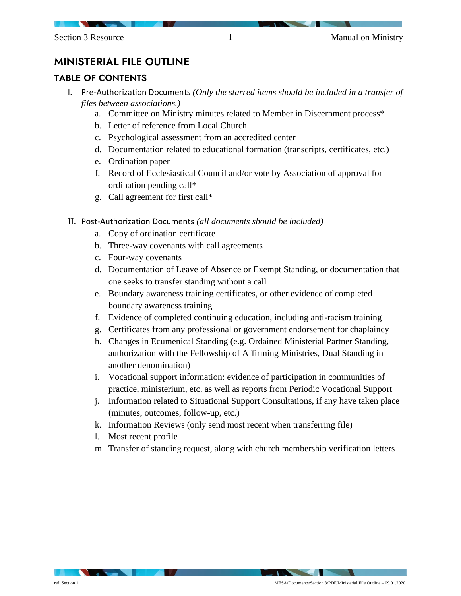## MINISTERIAL FILE OUTLINE

## TABLE OF CONTENTS

- I. Pre-Authorization Documents *(Only the starred items should be included in a transfer of files between associations.)*
	- a. Committee on Ministry minutes related to Member in Discernment process\*
	- b. Letter of reference from Local Church
	- c. Psychological assessment from an accredited center
	- d. Documentation related to educational formation (transcripts, certificates, etc.)
	- e. Ordination paper
	- f. Record of Ecclesiastical Council and/or vote by Association of approval for ordination pending call\*
	- g. Call agreement for first call\*
- II. Post-Authorization Documents *(all documents should be included)*
	- a. Copy of ordination certificate
	- b. Three-way covenants with call agreements
	- c. Four-way covenants
	- d. Documentation of Leave of Absence or Exempt Standing, or documentation that one seeks to transfer standing without a call
	- e. Boundary awareness training certificates, or other evidence of completed boundary awareness training
	- f. Evidence of completed continuing education, including anti-racism training
	- g. Certificates from any professional or government endorsement for chaplaincy
	- h. Changes in Ecumenical Standing (e.g. Ordained Ministerial Partner Standing, authorization with the Fellowship of Affirming Ministries, Dual Standing in another denomination)
	- i. Vocational support information: evidence of participation in communities of practice, ministerium, etc. as well as reports from Periodic Vocational Support
	- j. Information related to Situational Support Consultations, if any have taken place (minutes, outcomes, follow-up, etc.)
	- k. Information Reviews (only send most recent when transferring file)
	- l. Most recent profile
	- m. Transfer of standing request, along with church membership verification letters